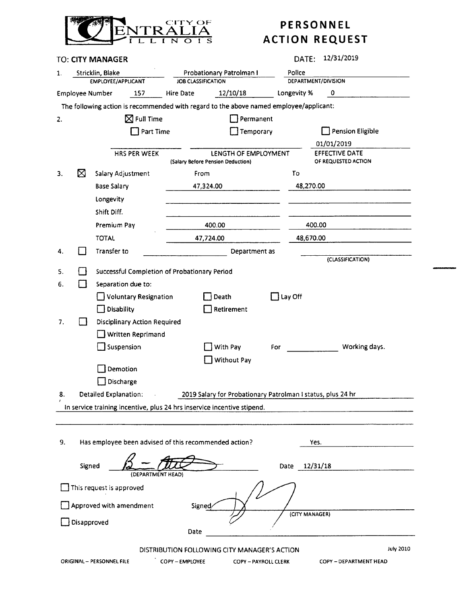

|                                                                                        |                                                                                                       | TO: CITY MANAGER                             |                                                                         | 12/31/2019<br>DATE:                                         |  |  |  |  |  |  |  |  |  |  |
|----------------------------------------------------------------------------------------|-------------------------------------------------------------------------------------------------------|----------------------------------------------|-------------------------------------------------------------------------|-------------------------------------------------------------|--|--|--|--|--|--|--|--|--|--|
| 1.                                                                                     |                                                                                                       | Stricklin, Blake                             | Probationary Patrolman I                                                | Police                                                      |  |  |  |  |  |  |  |  |  |  |
|                                                                                        |                                                                                                       | EMPLOYEE/APPLICANT                           | JOB CLASSIFICATION                                                      | DEPARTMENT/DIVISION                                         |  |  |  |  |  |  |  |  |  |  |
|                                                                                        | 12/10/18<br>Longevity %<br>157<br>0<br><b>Employee Number</b><br>Hire Date                            |                                              |                                                                         |                                                             |  |  |  |  |  |  |  |  |  |  |
| The following action is recommended with regard to the above named employee/applicant: |                                                                                                       |                                              |                                                                         |                                                             |  |  |  |  |  |  |  |  |  |  |
| 2.                                                                                     |                                                                                                       | $\boxtimes$ Full Time                        | Permanent                                                               |                                                             |  |  |  |  |  |  |  |  |  |  |
|                                                                                        |                                                                                                       | Part Time                                    | Temporary                                                               | <b>Pension Eligible</b>                                     |  |  |  |  |  |  |  |  |  |  |
|                                                                                        |                                                                                                       |                                              |                                                                         | 01/01/2019                                                  |  |  |  |  |  |  |  |  |  |  |
|                                                                                        |                                                                                                       | <b>HRS PER WEEK</b>                          | LENGTH OF EMPLOYMENT<br>(Salary Before Pension Deduction)               | EFFECTIVE DATE<br>OF REQUESTED ACTION                       |  |  |  |  |  |  |  |  |  |  |
| 3.                                                                                     | ⊠                                                                                                     | Salary Adjustment                            | From                                                                    | To                                                          |  |  |  |  |  |  |  |  |  |  |
|                                                                                        |                                                                                                       | <b>Base Salary</b>                           | 47,324.00                                                               | 48,270.00                                                   |  |  |  |  |  |  |  |  |  |  |
|                                                                                        |                                                                                                       | Longevity                                    |                                                                         |                                                             |  |  |  |  |  |  |  |  |  |  |
|                                                                                        |                                                                                                       | Shift Diff.                                  |                                                                         |                                                             |  |  |  |  |  |  |  |  |  |  |
|                                                                                        |                                                                                                       | Premium Pay                                  | 400.00                                                                  | 400.00                                                      |  |  |  |  |  |  |  |  |  |  |
|                                                                                        |                                                                                                       | <b>TOTAL</b>                                 | 47,724.00                                                               | 48,670.00                                                   |  |  |  |  |  |  |  |  |  |  |
|                                                                                        |                                                                                                       |                                              |                                                                         |                                                             |  |  |  |  |  |  |  |  |  |  |
| 4.                                                                                     |                                                                                                       | Transfer to                                  | Department as                                                           | (CLASSIFICATION)                                            |  |  |  |  |  |  |  |  |  |  |
| 5.                                                                                     |                                                                                                       | Successful Completion of Probationary Period |                                                                         |                                                             |  |  |  |  |  |  |  |  |  |  |
| 6.                                                                                     |                                                                                                       | Separation due to:                           |                                                                         |                                                             |  |  |  |  |  |  |  |  |  |  |
|                                                                                        |                                                                                                       | <b>Voluntary Resignation</b>                 | Death                                                                   | $\exists$ Lay Off                                           |  |  |  |  |  |  |  |  |  |  |
|                                                                                        |                                                                                                       | Disability                                   | Retirement                                                              |                                                             |  |  |  |  |  |  |  |  |  |  |
| 7.                                                                                     |                                                                                                       | <b>Disciplinary Action Required</b>          |                                                                         |                                                             |  |  |  |  |  |  |  |  |  |  |
|                                                                                        |                                                                                                       | Written Reprimand                            |                                                                         |                                                             |  |  |  |  |  |  |  |  |  |  |
|                                                                                        |                                                                                                       | Suspension                                   | With Pay                                                                | Working days.<br>For                                        |  |  |  |  |  |  |  |  |  |  |
|                                                                                        |                                                                                                       |                                              | <b>Without Pay</b>                                                      |                                                             |  |  |  |  |  |  |  |  |  |  |
|                                                                                        |                                                                                                       | Demotion                                     |                                                                         |                                                             |  |  |  |  |  |  |  |  |  |  |
|                                                                                        |                                                                                                       | Discharge                                    |                                                                         |                                                             |  |  |  |  |  |  |  |  |  |  |
| 8.                                                                                     |                                                                                                       | <b>Detailed Explanation:</b>                 |                                                                         | 2019 Salary for Probationary Patrolman I status, plus 24 hr |  |  |  |  |  |  |  |  |  |  |
|                                                                                        |                                                                                                       |                                              | In service training incentive, plus 24 hrs inservice incentive stipend. |                                                             |  |  |  |  |  |  |  |  |  |  |
|                                                                                        |                                                                                                       |                                              |                                                                         |                                                             |  |  |  |  |  |  |  |  |  |  |
|                                                                                        |                                                                                                       |                                              |                                                                         |                                                             |  |  |  |  |  |  |  |  |  |  |
| 9.                                                                                     |                                                                                                       |                                              | Has employee been advised of this recommended action?                   | Yes.                                                        |  |  |  |  |  |  |  |  |  |  |
|                                                                                        |                                                                                                       |                                              |                                                                         |                                                             |  |  |  |  |  |  |  |  |  |  |
|                                                                                        | Signed                                                                                                |                                              |                                                                         | 12/31/18<br>Date                                            |  |  |  |  |  |  |  |  |  |  |
|                                                                                        |                                                                                                       | (DEPARTMENT HEAD)                            |                                                                         |                                                             |  |  |  |  |  |  |  |  |  |  |
|                                                                                        |                                                                                                       | This request is approved                     |                                                                         |                                                             |  |  |  |  |  |  |  |  |  |  |
| Approved with amendment<br>Signed/                                                     |                                                                                                       |                                              |                                                                         |                                                             |  |  |  |  |  |  |  |  |  |  |
| (CITY MANAGER)<br>Disapproved                                                          |                                                                                                       |                                              |                                                                         |                                                             |  |  |  |  |  |  |  |  |  |  |
|                                                                                        |                                                                                                       |                                              | Date                                                                    |                                                             |  |  |  |  |  |  |  |  |  |  |
|                                                                                        |                                                                                                       |                                              |                                                                         |                                                             |  |  |  |  |  |  |  |  |  |  |
|                                                                                        |                                                                                                       |                                              | DISTRIBUTION FOLLOWING CITY MANAGER'S ACTION                            | <b>July 2010</b>                                            |  |  |  |  |  |  |  |  |  |  |
|                                                                                        | ORIGINAL - PERSONNEL FILE<br>COPY - EMPLOYEE<br>COPY - DEPARTMENT HEAD<br><b>COPY - PAYROLL CLERK</b> |                                              |                                                                         |                                                             |  |  |  |  |  |  |  |  |  |  |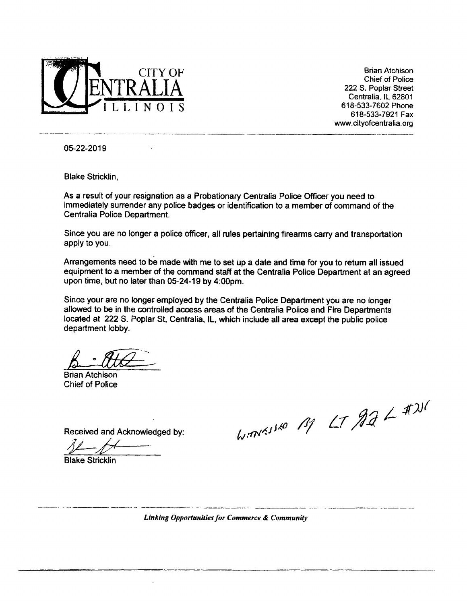

CITY OF Brian Atchison **Chief of Police** 222 S. Poplar Street Centralia, IL 62801 618-533-7921 Fax www.cityofcentralia.org

 $\mu$  ) $\sigma$ 

05-22-2019

Blake Stricklin,

As a result of your resignation as a Probationary Centralia Police Officer you need to immediately surrender any police badges or identification to a member of command of the Centralia Police Department.

Since you are no longer a police officer, all rules pertaining firearms carry and transportation apply to you.

Arrangements need to be made with me to set up a date and time for you to return all issued equipment to a member of the command staff at the Centralia Police Department at an agreed upon time, but no later than 05-24- 19 by 4:00pm.

Since your are no longer employed by the Centralia Police Department you are no longer allowed to be in the controlled access areas of the Centralia Police and Fire Departments located at 222 S. Poplar St, Centralia, IL, which include all area except the public police department lobby.

Brian Atchison Chief of Police

Received and Acknowledged by:

40

Blake Stricklin

Linking Opportunities for Commerce & Community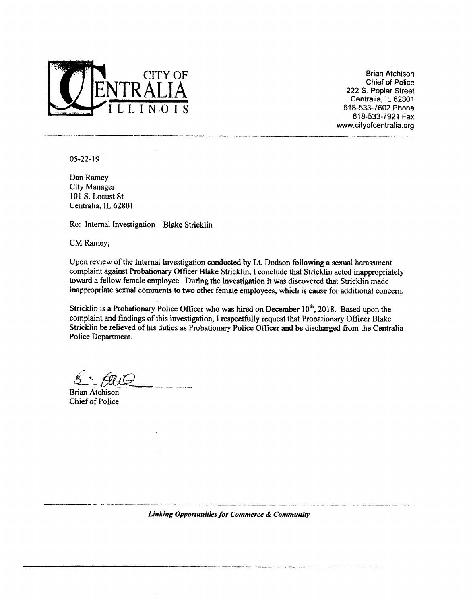

CITY OF Brian Atchison<br>
The Brian Atchison<br>
Chief of Police 222 S. Poplar Street Centralia, IL 62801 618-533-7602 Phone 618-533-7921 Fax www.cityofcentralia. org

05-22-19

Dan Ramey City Manager 101 S. Locust St Centralia, IL 62801

Re: Internal Investigation—Blake Stricklin

CM Ramey;

Upon review of the Internal Investigation conducted by Lt. Dodson following <sup>a</sup> sexual harassment complaint against Probationary Officer Blake Stricklin, I conclude that Stricklin acted inappropriately toward a fellow female employee. During the investigation it was discovered that Stricklin made inappropriate sexual comments to two other female employees, which is cause for additional concern.

Stricklin is a Probationary Police Officer who was hired on December  $10<sup>th</sup>$ , 2018. Based upon the complaint and findings of this investigation, I respectfully request that Probationary Officer Blake Stricklin be relieved of his duties as Probationary Police Officer and be discharged from the Centralia Police Department.

Brian Atchison Chief of Police

Linking Opportunities for Commerce& Community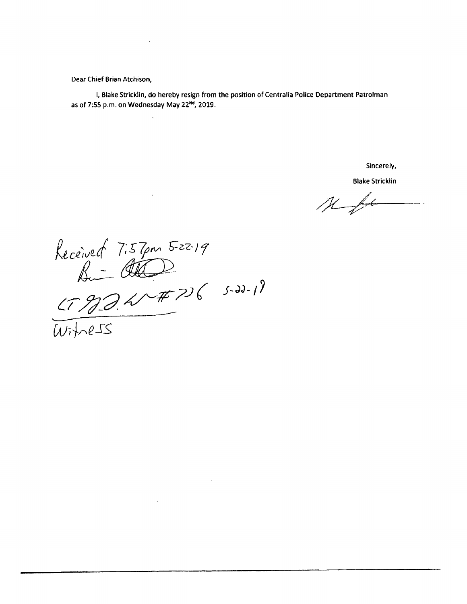Dear Chief Brian Atchison,

I, Blake Stricklin, do hereby resign from the position of Centralia Police Department Patrolman as of 7:55 p.m. on Wednesday May 22<sup>Nd</sup>, 2019.

Sincerely,

**Blake Stricklin** 

 $Mf$ 

Received 7:57pm 5-22.19<br>
Bi-COO 5-22-19<br>
(17904-#7)6 5-22-19<br>
Witness

 $\mathcal{L}^{\text{max}}_{\text{max}}$  and  $\mathcal{L}^{\text{max}}_{\text{max}}$ 

 $\sim 100$  km s  $^{-1}$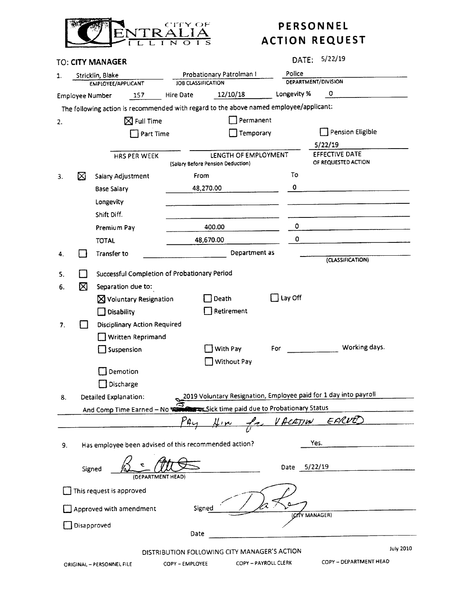

## PERSONNEL

|                         |                                        | <b>TO: CITY MANAGER</b>                                                                |                   | 5/22/19<br>DATE:                                          |                          |                                                                                                                                                |                     |                                                                  |           |  |  |  |  |  |  |  |  |
|-------------------------|----------------------------------------|----------------------------------------------------------------------------------------|-------------------|-----------------------------------------------------------|--------------------------|------------------------------------------------------------------------------------------------------------------------------------------------|---------------------|------------------------------------------------------------------|-----------|--|--|--|--|--|--|--|--|
| 1.                      | Stricklin, Blake<br>EMPLOYEE/APPLICANT |                                                                                        |                   |                                                           | Probationary Patrolman I |                                                                                                                                                | Police              |                                                                  |           |  |  |  |  |  |  |  |  |
|                         |                                        |                                                                                        |                   | <b>JOB CLASSIFICATION</b>                                 |                          |                                                                                                                                                | DEPARTMENT/DIVISION |                                                                  |           |  |  |  |  |  |  |  |  |
|                         | <b>Employee Number</b>                 | 157                                                                                    |                   | Hire Date                                                 | 12/10/18                 |                                                                                                                                                | Longevity %         | $\circ$                                                          |           |  |  |  |  |  |  |  |  |
|                         |                                        | The following action is recommended with regard to the above named employee/applicant: |                   |                                                           |                          |                                                                                                                                                |                     |                                                                  |           |  |  |  |  |  |  |  |  |
| 2.                      |                                        | $\boxtimes$ Full Time                                                                  |                   |                                                           | Permanent                |                                                                                                                                                |                     |                                                                  |           |  |  |  |  |  |  |  |  |
|                         | Part Time                              |                                                                                        |                   | Temporary                                                 |                          |                                                                                                                                                | Pension Eligible    |                                                                  |           |  |  |  |  |  |  |  |  |
|                         |                                        |                                                                                        |                   |                                                           |                          |                                                                                                                                                |                     | 5/22/19                                                          |           |  |  |  |  |  |  |  |  |
|                         |                                        | HRS PER WEEK                                                                           |                   | LENGTH OF EMPLOYMENT<br>(Salary Before Pension Deduction) |                          |                                                                                                                                                |                     | <b>EFFECTIVE DATE</b><br>OF REQUESTED ACTION                     |           |  |  |  |  |  |  |  |  |
| 3.                      | ⊠                                      | Salary Adjustment                                                                      |                   | From                                                      |                          |                                                                                                                                                | To                  |                                                                  |           |  |  |  |  |  |  |  |  |
|                         |                                        | <b>Base Salary</b>                                                                     |                   | 48,270.00                                                 |                          |                                                                                                                                                | 0                   |                                                                  |           |  |  |  |  |  |  |  |  |
|                         |                                        |                                                                                        |                   |                                                           |                          |                                                                                                                                                |                     |                                                                  |           |  |  |  |  |  |  |  |  |
|                         |                                        | Longevity                                                                              |                   |                                                           |                          |                                                                                                                                                |                     |                                                                  |           |  |  |  |  |  |  |  |  |
|                         |                                        | Shift Diff.                                                                            |                   |                                                           |                          |                                                                                                                                                |                     |                                                                  |           |  |  |  |  |  |  |  |  |
|                         |                                        | Premium Pay                                                                            |                   | 400.00                                                    |                          |                                                                                                                                                | 0                   |                                                                  |           |  |  |  |  |  |  |  |  |
|                         |                                        | <b>TOTAL</b>                                                                           |                   | 48,670.00                                                 |                          |                                                                                                                                                | 0                   |                                                                  |           |  |  |  |  |  |  |  |  |
| 4.                      |                                        | Transfer to                                                                            |                   |                                                           | Department as            |                                                                                                                                                |                     | (CLASSIFICATION)                                                 |           |  |  |  |  |  |  |  |  |
| 5.                      |                                        | Successful Completion of Probationary Period                                           |                   |                                                           |                          |                                                                                                                                                |                     |                                                                  |           |  |  |  |  |  |  |  |  |
|                         | ⊠                                      |                                                                                        |                   |                                                           |                          |                                                                                                                                                |                     |                                                                  |           |  |  |  |  |  |  |  |  |
| 6.                      |                                        | Separation due to:<br>$\Box$ Lay Off<br>$\boxtimes$ Voluntary Resignation              |                   |                                                           |                          |                                                                                                                                                |                     |                                                                  |           |  |  |  |  |  |  |  |  |
|                         |                                        |                                                                                        |                   |                                                           | Death                    |                                                                                                                                                |                     |                                                                  |           |  |  |  |  |  |  |  |  |
|                         |                                        | <b>Disability</b>                                                                      |                   |                                                           | Retirement               |                                                                                                                                                |                     |                                                                  |           |  |  |  |  |  |  |  |  |
| 7.                      |                                        | <b>Disciplinary Action Required</b>                                                    |                   |                                                           |                          |                                                                                                                                                |                     |                                                                  |           |  |  |  |  |  |  |  |  |
|                         |                                        | Written Reprimand                                                                      |                   |                                                           |                          |                                                                                                                                                |                     |                                                                  |           |  |  |  |  |  |  |  |  |
|                         |                                        | Suspension                                                                             |                   |                                                           | With Pay                 | For                                                                                                                                            |                     | Working days.                                                    |           |  |  |  |  |  |  |  |  |
|                         |                                        |                                                                                        |                   |                                                           | Without Pay              |                                                                                                                                                |                     |                                                                  |           |  |  |  |  |  |  |  |  |
|                         |                                        | Demotion                                                                               |                   |                                                           |                          |                                                                                                                                                |                     |                                                                  |           |  |  |  |  |  |  |  |  |
|                         |                                        | Discharge                                                                              |                   |                                                           |                          |                                                                                                                                                |                     |                                                                  |           |  |  |  |  |  |  |  |  |
| 8.                      |                                        | Detailed Explanation:                                                                  |                   |                                                           |                          |                                                                                                                                                |                     | 2019 Voluntary Resignation, Employee paid for 1 day into payroll |           |  |  |  |  |  |  |  |  |
|                         |                                        | And Comp Time Earned - No WE Construct Sick time paid due to Probationary Status       |                   |                                                           |                          |                                                                                                                                                |                     |                                                                  |           |  |  |  |  |  |  |  |  |
|                         |                                        |                                                                                        |                   | P4                                                        | Him for VACATION EARVED  |                                                                                                                                                |                     |                                                                  |           |  |  |  |  |  |  |  |  |
|                         |                                        | Has employee been advised of this recommended action?                                  |                   |                                                           |                          |                                                                                                                                                | Yes.                |                                                                  |           |  |  |  |  |  |  |  |  |
| 9.                      |                                        |                                                                                        |                   |                                                           |                          |                                                                                                                                                |                     |                                                                  |           |  |  |  |  |  |  |  |  |
|                         | Signed                                 |                                                                                        | (DEPARTMENT HEAD) |                                                           |                          | Date                                                                                                                                           | 5/22/19             |                                                                  |           |  |  |  |  |  |  |  |  |
|                         |                                        | This request is approved                                                               |                   |                                                           |                          |                                                                                                                                                |                     |                                                                  |           |  |  |  |  |  |  |  |  |
|                         |                                        |                                                                                        |                   |                                                           |                          |                                                                                                                                                |                     |                                                                  |           |  |  |  |  |  |  |  |  |
| Approved with amendment |                                        |                                                                                        |                   | Signed<br>(CITY MANAGER)                                  |                          |                                                                                                                                                |                     |                                                                  |           |  |  |  |  |  |  |  |  |
| Disapproved             |                                        |                                                                                        |                   |                                                           |                          |                                                                                                                                                |                     |                                                                  |           |  |  |  |  |  |  |  |  |
|                         |                                        |                                                                                        |                   | Date                                                      |                          |                                                                                                                                                |                     |                                                                  |           |  |  |  |  |  |  |  |  |
|                         |                                        |                                                                                        |                   |                                                           |                          |                                                                                                                                                |                     |                                                                  | July 2010 |  |  |  |  |  |  |  |  |
|                         |                                        |                                                                                        |                   |                                                           |                          | DISTRIBUTION FOLLOWING CITY MANAGER'S ACTION<br>COPY - DEPARTMENT HEAD<br>COPY - PAYROLL CLERK<br>COPY - EMPLOYEE<br>ORIGINAL - PERSONNEL FILE |                     |                                                                  |           |  |  |  |  |  |  |  |  |